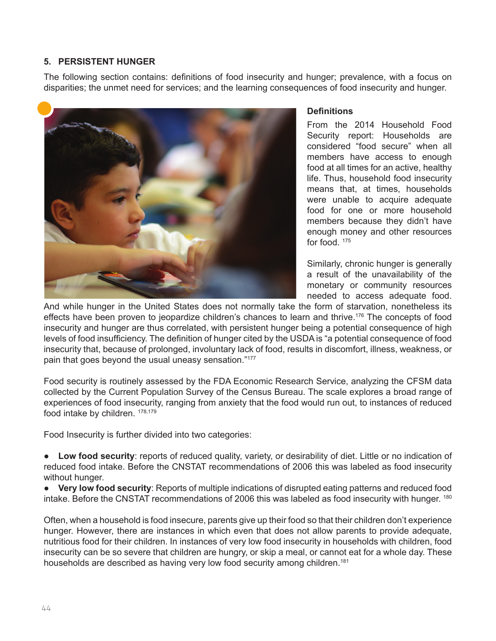## **5. PERSISTENT HUNGER**

The following section contains: definitions of food insecurity and hunger; prevalence, with a focus on disparities; the unmet need for services; and the learning consequences of food insecurity and hunger.



#### **Definitions**

From the 2014 Household Food Security report: Households are considered "food secure" when all members have access to enough food at all times for an active, healthy life. Thus, household food insecurity means that, at times, households were unable to acquire adequate food for one or more household members because they didn't have enough money and other resources for food. <sup>175</sup>

Similarly, chronic hunger is generally a result of the unavailability of the monetary or community resources needed to access adequate food.

And while hunger in the United States does not normally take the form of starvation, nonetheless its effects have been proven to jeopardize children's chances to learn and thrive.<sup>176</sup> The concepts of food insecurity and hunger are thus correlated, with persistent hunger being a potential consequence of high levels of food insufficiency. The definition of hunger cited by the USDA is "a potential consequence of food insecurity that, because of prolonged, involuntary lack of food, results in discomfort, illness, weakness, or pain that goes beyond the usual uneasy sensation."<sup>177</sup>

Food security is routinely assessed by the FDA Economic Research Service, analyzing the CFSM data collected by the Current Population Survey of the Census Bureau. The scale explores a broad range of experiences of food insecurity, ranging from anxiety that the food would run out, to instances of reduced food intake by children. 178,179

Food Insecurity is further divided into two categories:

● **Low food security**: reports of reduced quality, variety, or desirability of diet. Little or no indication of reduced food intake. Before the CNSTAT recommendations of 2006 this was labeled as food insecurity without hunger.

● **Very low food security**: Reports of multiple indications of disrupted eating patterns and reduced food intake. Before the CNSTAT recommendations of 2006 this was labeled as food insecurity with hunger. <sup>180</sup>

Often, when a household is food insecure, parents give up their food so that their children don't experience hunger. However, there are instances in which even that does not allow parents to provide adequate, nutritious food for their children. In instances of very low food insecurity in households with children, food insecurity can be so severe that children are hungry, or skip a meal, or cannot eat for a whole day. These households are described as having very low food security among children.<sup>181</sup>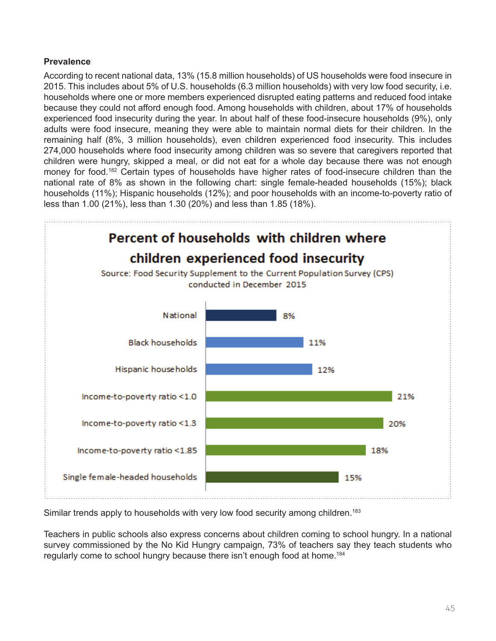# **Prevalence**

According to recent national data, 13% (15.8 million households) of US households were food insecure in 2015. This includes about 5% of U.S. households (6.3 million households) with very low food security, i.e. households where one or more members experienced disrupted eating patterns and reduced food intake because they could not afford enough food. Among households with children, about 17% of households experienced food insecurity during the year. In about half of these food-insecure households (9%), only adults were food insecure, meaning they were able to maintain normal diets for their children. In the remaining half (8%, 3 million households), even children experienced food insecurity. This includes 274,000 households where food insecurity among children was so severe that caregivers reported that children were hungry, skipped a meal, or did not eat for a whole day because there was not enough money for food.<sup>182</sup> Certain types of households have higher rates of food-insecure children than the national rate of 8% as shown in the following chart: single female-headed households (15%); black households (11%); Hispanic households (12%); and poor households with an income-to-poverty ratio of less than 1.00 (21%), less than 1.30 (20%) and less than 1.85 (18%).



Similar trends apply to households with very low food security among children.<sup>183</sup>

Teachers in public schools also express concerns about children coming to school hungry. In a national survey commissioned by the No Kid Hungry campaign, 73% of teachers say they teach students who regularly come to school hungry because there isn't enough food at home.184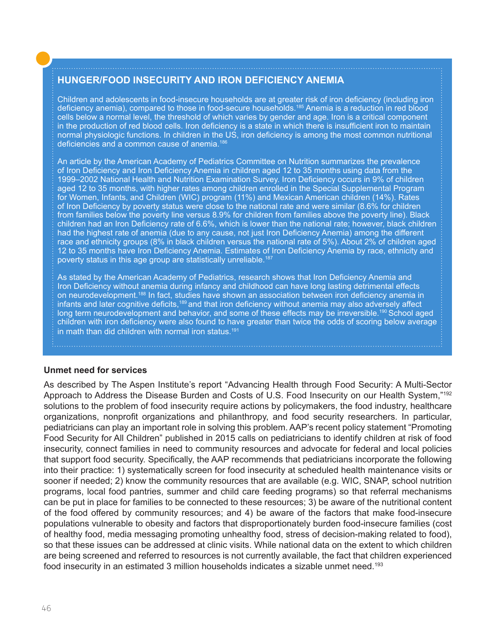# **HUNGER/FOOD INSECURITY AND IRON DEFICIENCY ANEMIA**

Children and adolescents in food-insecure households are at greater risk of iron deficiency (including iron deficiency anemia), compared to those in food-secure households.185 Anemia is a reduction in red blood cells below a normal level, the threshold of which varies by gender and age. Iron is a critical component in the production of red blood cells. Iron deficiency is a state in which there is insufficient iron to maintain normal physiologic functions. In children in the US, iron deficiency is among the most common nutritional deficiencies and a common cause of anemia.186

An article by the American Academy of Pediatrics Committee on Nutrition summarizes the prevalence of Iron Deficiency and Iron Deficiency Anemia in children aged 12 to 35 months using data from the 1999–2002 National Health and Nutrition Examination Survey. Iron Deficiency occurs in 9% of children aged 12 to 35 months, with higher rates among children enrolled in the Special Supplemental Program for Women, Infants, and Children (WIC) program (11%) and Mexican American children (14%). Rates of Iron Deficiency by poverty status were close to the national rate and were similar (8.6% for children from families below the poverty line versus 8.9% for children from families above the poverty line). Black children had an Iron Deficiency rate of 6.6%, which is lower than the national rate; however, black children had the highest rate of anemia (due to any cause, not just Iron Deficiency Anemia) among the different race and ethnicity groups (8% in black children versus the national rate of 5%). About 2% of children aged 12 to 35 months have Iron Deficiency Anemia. Estimates of Iron Deficiency Anemia by race, ethnicity and poverty status in this age group are statistically unreliable.<sup>187</sup>

As stated by the American Academy of Pediatrics, research shows that Iron Deficiency Anemia and Iron Deficiency without anemia during infancy and childhood can have long lasting detrimental effects on neurodevelopment.188 In fact, studies have shown an association between iron deficiency anemia in infants and later cognitive deficits,189 and that iron deficiency without anemia may also adversely affect long term neurodevelopment and behavior, and some of these effects may be irreversible.<sup>190</sup> School aged children with iron deficiency were also found to have greater than twice the odds of scoring below average in math than did children with normal iron status.<sup>191</sup>

#### **Unmet need for services**

As described by The Aspen Institute's report "Advancing Health through Food Security: A Multi-Sector Approach to Address the Disease Burden and Costs of U.S. Food Insecurity on our Health System,"192 solutions to the problem of food insecurity require actions by policymakers, the food industry, healthcare organizations, nonprofit organizations and philanthropy, and food security researchers. In particular, pediatricians can play an important role in solving this problem. AAP's recent policy statement "Promoting Food Security for All Children" published in 2015 calls on pediatricians to identify children at risk of food insecurity, connect families in need to community resources and advocate for federal and local policies that support food security. Specifically, the AAP recommends that pediatricians incorporate the following into their practice: 1) systematically screen for food insecurity at scheduled health maintenance visits or sooner if needed; 2) know the community resources that are available (e.g. WIC, SNAP, school nutrition programs, local food pantries, summer and child care feeding programs) so that referral mechanisms can be put in place for families to be connected to these resources; 3) be aware of the nutritional content of the food offered by community resources; and 4) be aware of the factors that make food-insecure populations vulnerable to obesity and factors that disproportionately burden food-insecure families (cost of healthy food, media messaging promoting unhealthy food, stress of decision-making related to food), so that these issues can be addressed at clinic visits. While national data on the extent to which children are being screened and referred to resources is not currently available, the fact that children experienced food insecurity in an estimated 3 million households indicates a sizable unmet need.<sup>193</sup>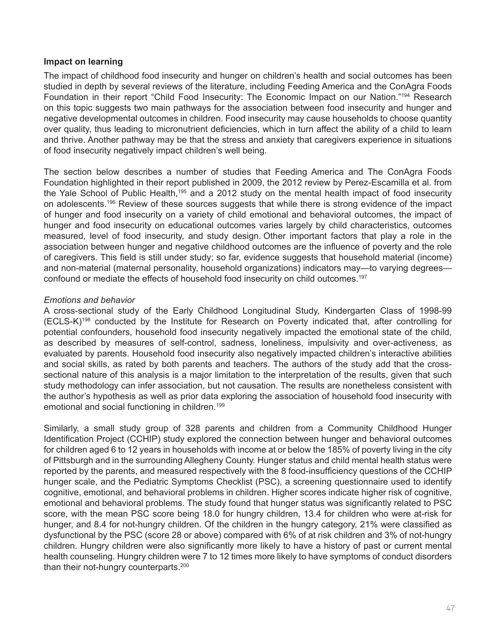### **Impact on learning**

The impact of childhood food insecurity and hunger on children's health and social outcomes has been studied in depth by several reviews of the literature, including Feeding America and the ConAgra Foods Foundation in their report "Child Food Insecurity: The Economic Impact on our Nation."194 Research on this topic suggests two main pathways for the association between food insecurity and hunger and negative developmental outcomes in children. Food insecurity may cause households to choose quantity over quality, thus leading to micronutrient deficiencies, which in turn affect the ability of a child to learn and thrive. Another pathway may be that the stress and anxiety that caregivers experience in situations of food insecurity negatively impact children's well being.

The section below describes a number of studies that Feeding America and The ConAgra Foods Foundation highlighted in their report published in 2009, the 2012 review by Perez-Escamilla et al. from the Yale School of Public Health,<sup>195</sup> and a 2012 study on the mental health impact of food insecurity on adolescents.196 Review of these sources suggests that while there is strong evidence of the impact of hunger and food insecurity on a variety of child emotional and behavioral outcomes, the impact of hunger and food insecurity on educational outcomes varies largely by child characteristics, outcomes measured, level of food insecurity, and study design. Other important factors that play a role in the association between hunger and negative childhood outcomes are the influence of poverty and the role of caregivers. This field is still under study; so far, evidence suggests that household material (income) and non-material (maternal personality, household organizations) indicators may—to varying degrees confound or mediate the effects of household food insecurity on child outcomes.<sup>197</sup>

## *Emotions and behavior*

A cross-sectional study of the Early Childhood Longitudinal Study, Kindergarten Class of 1998-99 (ECLS-K)198 conducted by the Institute for Research on Poverty indicated that, after controlling for potential confounders, household food insecurity negatively impacted the emotional state of the child, as described by measures of self-control, sadness, loneliness, impulsivity and over-activeness, as evaluated by parents. Household food insecurity also negatively impacted children's interactive abilities and social skills, as rated by both parents and teachers. The authors of the study add that the crosssectional nature of this analysis is a major limitation to the interpretation of the results, given that such study methodology can infer association, but not causation. The results are nonetheless consistent with the author's hypothesis as well as prior data exploring the association of household food insecurity with emotional and social functioning in children.<sup>199</sup>

Similarly, a small study group of 328 parents and children from a Community Childhood Hunger Identification Project (CCHIP) study explored the connection between hunger and behavioral outcomes for children aged 6 to 12 years in households with income at or below the 185% of poverty living in the city of Pittsburgh and in the surrounding Allegheny County. Hunger status and child mental health status were reported by the parents, and measured respectively with the 8 food-insufficiency questions of the CCHIP hunger scale, and the Pediatric Symptoms Checklist (PSC), a screening questionnaire used to identify cognitive, emotional, and behavioral problems in children. Higher scores indicate higher risk of cognitive, emotional and behavioral problems. The study found that hunger status was significantly related to PSC score, with the mean PSC score being 18.0 for hungry children, 13.4 for children who were at-risk for hunger, and 8.4 for not-hungry children. Of the children in the hungry category, 21% were classified as dysfunctional by the PSC (score 28 or above) compared with 6% of at risk children and 3% of not-hungry children. Hungry children were also significantly more likely to have a history of past or current mental health counseling. Hungry children were 7 to 12 times more likely to have symptoms of conduct disorders than their not-hungry counterparts.200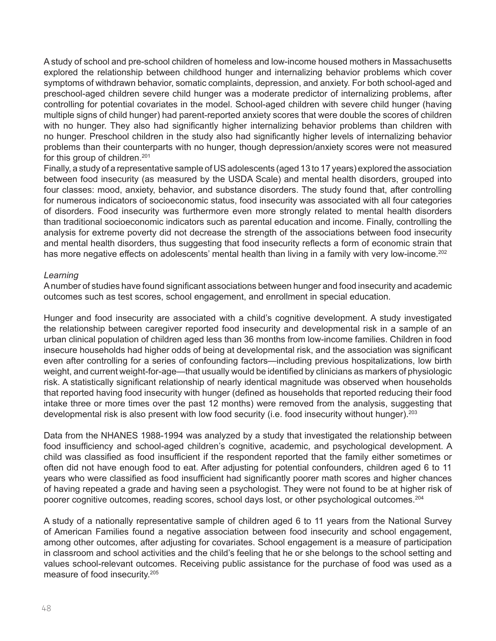A study of school and pre-school children of homeless and low-income housed mothers in Massachusetts explored the relationship between childhood hunger and internalizing behavior problems which cover symptoms of withdrawn behavior, somatic complaints, depression, and anxiety. For both school-aged and preschool-aged children severe child hunger was a moderate predictor of internalizing problems, after controlling for potential covariates in the model. School-aged children with severe child hunger (having multiple signs of child hunger) had parent-reported anxiety scores that were double the scores of children with no hunger. They also had significantly higher internalizing behavior problems than children with no hunger. Preschool children in the study also had significantly higher levels of internalizing behavior problems than their counterparts with no hunger, though depression/anxiety scores were not measured for this group of children.<sup>201</sup>

Finally, a study of a representative sample of US adolescents (aged 13 to 17 years) explored the association between food insecurity (as measured by the USDA Scale) and mental health disorders, grouped into four classes: mood, anxiety, behavior, and substance disorders. The study found that, after controlling for numerous indicators of socioeconomic status, food insecurity was associated with all four categories of disorders. Food insecurity was furthermore even more strongly related to mental health disorders than traditional socioeconomic indicators such as parental education and income. Finally, controlling the analysis for extreme poverty did not decrease the strength of the associations between food insecurity and mental health disorders, thus suggesting that food insecurity reflects a form of economic strain that has more negative effects on adolescents' mental health than living in a family with very low-income.<sup>202</sup>

### *Learning*

A number of studies have found significant associations between hunger and food insecurity and academic outcomes such as test scores, school engagement, and enrollment in special education.

Hunger and food insecurity are associated with a child's cognitive development. A study investigated the relationship between caregiver reported food insecurity and developmental risk in a sample of an urban clinical population of children aged less than 36 months from low-income families. Children in food insecure households had higher odds of being at developmental risk, and the association was significant even after controlling for a series of confounding factors—including previous hospitalizations, low birth weight, and current weight-for-age—that usually would be identified by clinicians as markers of physiologic risk. A statistically significant relationship of nearly identical magnitude was observed when households that reported having food insecurity with hunger (defined as households that reported reducing their food intake three or more times over the past 12 months) were removed from the analysis, suggesting that developmental risk is also present with low food security (i.e. food insecurity without hunger).<sup>203</sup>

Data from the NHANES 1988-1994 was analyzed by a study that investigated the relationship between food insufficiency and school-aged children's cognitive, academic, and psychological development. A child was classified as food insufficient if the respondent reported that the family either sometimes or often did not have enough food to eat. After adjusting for potential confounders, children aged 6 to 11 years who were classified as food insufficient had significantly poorer math scores and higher chances of having repeated a grade and having seen a psychologist. They were not found to be at higher risk of poorer cognitive outcomes, reading scores, school days lost, or other psychological outcomes.<sup>204</sup>

A study of a nationally representative sample of children aged 6 to 11 years from the National Survey of American Families found a negative association between food insecurity and school engagement, among other outcomes, after adjusting for covariates. School engagement is a measure of participation in classroom and school activities and the child's feeling that he or she belongs to the school setting and values school-relevant outcomes. Receiving public assistance for the purchase of food was used as a measure of food insecurity.205